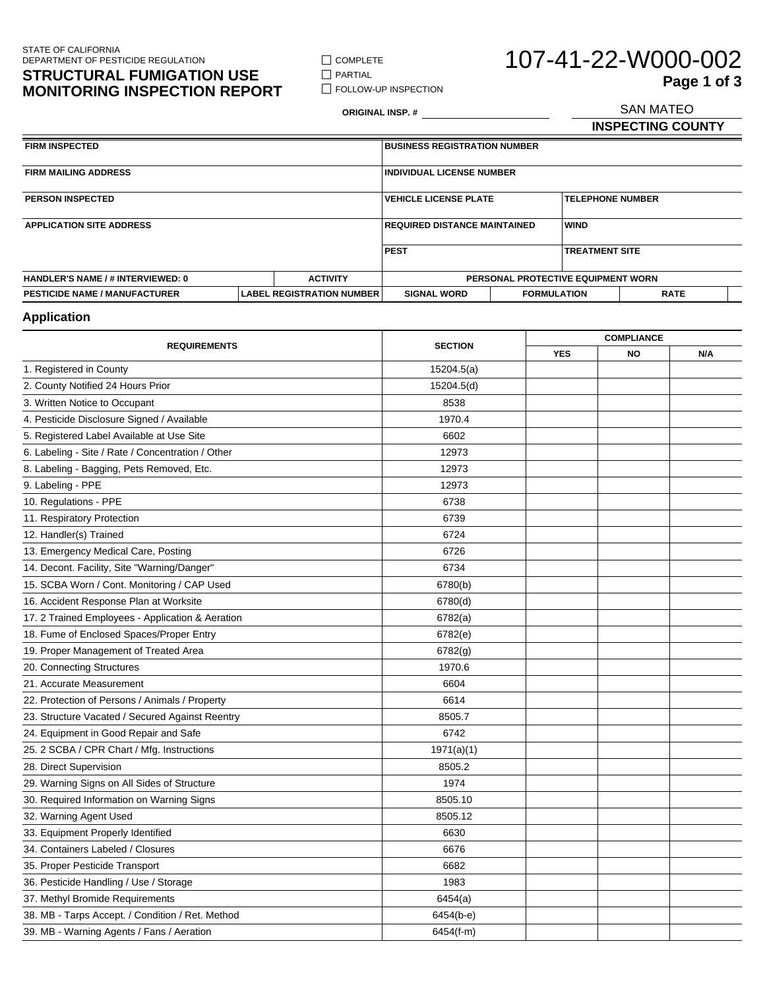## **STRUCTURAL FUMIGATION USE MONITORING INSPECTION REPORT**

 $\Box$  COMPLETE  $\hfill\Box$ <br> <br> PARTIAL

**FOLLOW-UP INSPECTION** 

# 107-41-22-W000-002 SAN MATEO **Page 1 of 3**

**ORIGINAL INSP. #**

**INSPECTING COUNTY**

| <b>FIRM INSPECTED</b>                    |  | <b>BUSINESS REGISTRATION NUMBER</b>                 |                    |                                    |  |             |
|------------------------------------------|--|-----------------------------------------------------|--------------------|------------------------------------|--|-------------|
| <b>FIRM MAILING ADDRESS</b>              |  | <b>INDIVIDUAL LICENSE NUMBER</b>                    |                    |                                    |  |             |
| <b>PERSON INSPECTED</b>                  |  | <b>IVEHICLE LICENSE PLATE</b>                       |                    | <b>TELEPHONE NUMBER</b>            |  |             |
| <b>APPLICATION SITE ADDRESS</b>          |  | <b>WIND</b><br><b>IREQUIRED DISTANCE MAINTAINED</b> |                    |                                    |  |             |
|                                          |  | <b>PEST</b><br><b>TREATMENT SITE</b>                |                    |                                    |  |             |
| <b>HANDLER'S NAME / # INTERVIEWED: 0</b> |  | <b>ACTIVITY</b>                                     |                    | PERSONAL PROTECTIVE EQUIPMENT WORN |  |             |
| <b>PESTICIDE NAME / MANUFACTURER</b>     |  | <b>LABEL REGISTRATION NUMBER</b>                    | <b>SIGNAL WORD</b> | <b>FORMULATION</b>                 |  | <b>RATE</b> |

### **Application**

| <b>REQUIREMENTS</b>                               | <b>SECTION</b> |            | <b>COMPLIANCE</b> |     |  |
|---------------------------------------------------|----------------|------------|-------------------|-----|--|
|                                                   |                | <b>YES</b> | <b>NO</b>         | N/A |  |
| 1. Registered in County                           | 15204.5(a)     |            |                   |     |  |
| 2. County Notified 24 Hours Prior                 | 15204.5(d)     |            |                   |     |  |
| 3. Written Notice to Occupant                     | 8538           |            |                   |     |  |
| 4. Pesticide Disclosure Signed / Available        | 1970.4         |            |                   |     |  |
| 5. Registered Label Available at Use Site         | 6602           |            |                   |     |  |
| 6. Labeling - Site / Rate / Concentration / Other | 12973          |            |                   |     |  |
| 8. Labeling - Bagging, Pets Removed, Etc.         | 12973          |            |                   |     |  |
| 9. Labeling - PPE                                 | 12973          |            |                   |     |  |
| 10. Regulations - PPE                             | 6738           |            |                   |     |  |
| 11. Respiratory Protection                        | 6739           |            |                   |     |  |
| 12. Handler(s) Trained                            | 6724           |            |                   |     |  |
| 13. Emergency Medical Care, Posting               | 6726           |            |                   |     |  |
| 14. Decont. Facility, Site "Warning/Danger"       | 6734           |            |                   |     |  |
| 15. SCBA Worn / Cont. Monitoring / CAP Used       | 6780(b)        |            |                   |     |  |
| 16. Accident Response Plan at Worksite            | 6780(d)        |            |                   |     |  |
| 17. 2 Trained Employees - Application & Aeration  | 6782(a)        |            |                   |     |  |
| 18. Fume of Enclosed Spaces/Proper Entry          | 6782(e)        |            |                   |     |  |
| 19. Proper Management of Treated Area             | 6782(g)        |            |                   |     |  |
| 20. Connecting Structures                         | 1970.6         |            |                   |     |  |
| 21. Accurate Measurement                          | 6604           |            |                   |     |  |
| 22. Protection of Persons / Animals / Property    | 6614           |            |                   |     |  |
| 23. Structure Vacated / Secured Against Reentry   | 8505.7         |            |                   |     |  |
| 24. Equipment in Good Repair and Safe             | 6742           |            |                   |     |  |
| 25. 2 SCBA / CPR Chart / Mfg. Instructions        | 1971(a)(1)     |            |                   |     |  |
| 28. Direct Supervision                            | 8505.2         |            |                   |     |  |
| 29. Warning Signs on All Sides of Structure       | 1974           |            |                   |     |  |
| 30. Required Information on Warning Signs         | 8505.10        |            |                   |     |  |
| 32. Warning Agent Used                            | 8505.12        |            |                   |     |  |
| 33. Equipment Properly Identified                 | 6630           |            |                   |     |  |
| 34. Containers Labeled / Closures                 | 6676           |            |                   |     |  |
| 35. Proper Pesticide Transport                    | 6682           |            |                   |     |  |
| 36. Pesticide Handling / Use / Storage            | 1983           |            |                   |     |  |
| 37. Methyl Bromide Requirements                   | 6454(a)        |            |                   |     |  |
| 38. MB - Tarps Accept. / Condition / Ret. Method  | $6454(b-e)$    |            |                   |     |  |
| 39. MB - Warning Agents / Fans / Aeration         | 6454(f-m)      |            |                   |     |  |
|                                                   |                |            |                   |     |  |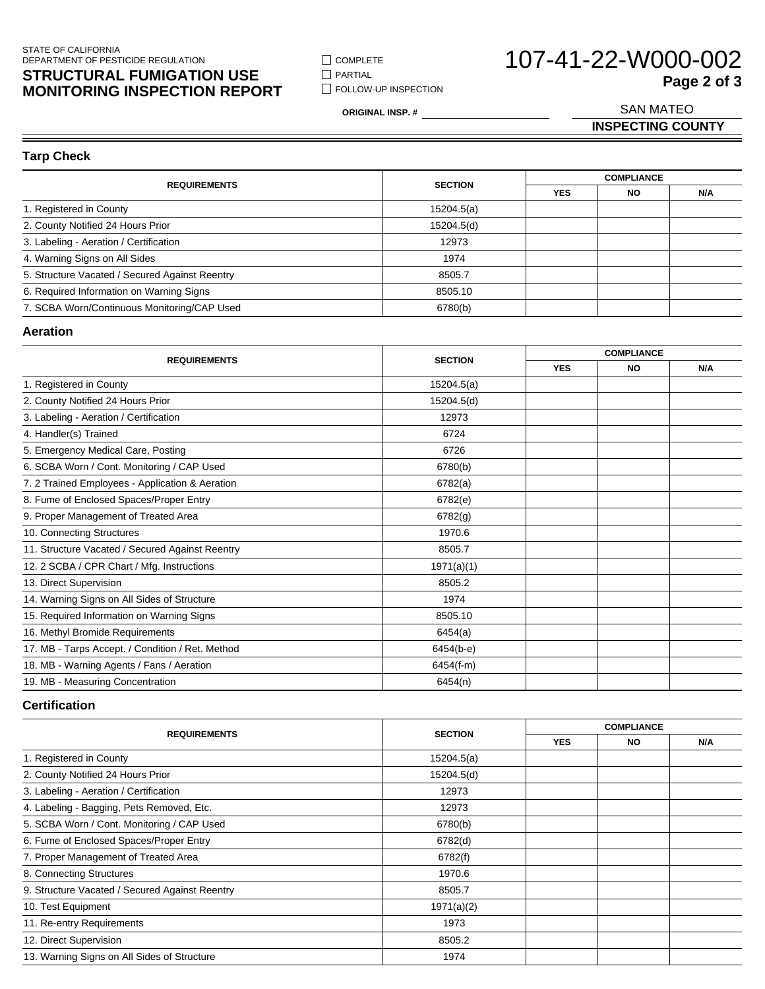### STATE OF CALIFORNIA DEPARTMENT OF PESTICIDE REGULATION

## **STRUCTURAL FUMIGATION USE MONITORING INSPECTION REPORT**

 $\Box$  COMPLETE  $\hfill\Box$ <br> <br> PARTIAL **FOLLOW-UP INSPECTION** 

# 107-41-22-W000-002 SAN MATEO **Page 2 of 3**

**ORIGINAL INSP. #**

**INSPECTING COUNTY**

**Tarp Check**

|                                                |                |            | <b>COMPLIANCE</b> |     |  |
|------------------------------------------------|----------------|------------|-------------------|-----|--|
| <b>REQUIREMENTS</b>                            | <b>SECTION</b> | <b>YES</b> | <b>NO</b>         | N/A |  |
| 1. Registered in County                        | 15204.5(a)     |            |                   |     |  |
| 2. County Notified 24 Hours Prior              | 15204.5(d)     |            |                   |     |  |
| 3. Labeling - Aeration / Certification         | 12973          |            |                   |     |  |
| 4. Warning Signs on All Sides                  | 1974           |            |                   |     |  |
| 5. Structure Vacated / Secured Against Reentry | 8505.7         |            |                   |     |  |
| 6. Required Information on Warning Signs       | 8505.10        |            |                   |     |  |
| 7. SCBA Worn/Continuous Monitoring/CAP Used    | 6780(b)        |            |                   |     |  |

#### **Aeration**

| <b>REQUIREMENTS</b>                              |                | <b>COMPLIANCE</b> |           |     |
|--------------------------------------------------|----------------|-------------------|-----------|-----|
|                                                  | <b>SECTION</b> | <b>YES</b>        | <b>NO</b> | N/A |
| 1. Registered in County                          | 15204.5(a)     |                   |           |     |
| 2. County Notified 24 Hours Prior                | 15204.5(d)     |                   |           |     |
| 3. Labeling - Aeration / Certification           | 12973          |                   |           |     |
| 4. Handler(s) Trained                            | 6724           |                   |           |     |
| 5. Emergency Medical Care, Posting               | 6726           |                   |           |     |
| 6. SCBA Worn / Cont. Monitoring / CAP Used       | 6780(b)        |                   |           |     |
| 7. 2 Trained Employees - Application & Aeration  | 6782(a)        |                   |           |     |
| 8. Fume of Enclosed Spaces/Proper Entry          | 6782(e)        |                   |           |     |
| 9. Proper Management of Treated Area             | 6782(g)        |                   |           |     |
| 10. Connecting Structures                        | 1970.6         |                   |           |     |
| 11. Structure Vacated / Secured Against Reentry  | 8505.7         |                   |           |     |
| 12. 2 SCBA / CPR Chart / Mfg. Instructions       | 1971(a)(1)     |                   |           |     |
| 13. Direct Supervision                           | 8505.2         |                   |           |     |
| 14. Warning Signs on All Sides of Structure      | 1974           |                   |           |     |
| 15. Required Information on Warning Signs        | 8505.10        |                   |           |     |
| 16. Methyl Bromide Requirements                  | 6454(a)        |                   |           |     |
| 17. MB - Tarps Accept. / Condition / Ret. Method | 6454(b-e)      |                   |           |     |
| 18. MB - Warning Agents / Fans / Aeration        | $6454(f-m)$    |                   |           |     |
| 19. MB - Measuring Concentration                 | 6454(n)        |                   |           |     |

#### **Certification**

|                                                |                |            | <b>COMPLIANCE</b> |     |  |
|------------------------------------------------|----------------|------------|-------------------|-----|--|
| <b>REQUIREMENTS</b>                            | <b>SECTION</b> | <b>YES</b> | <b>NO</b>         | N/A |  |
| 1. Registered in County                        | 15204.5(a)     |            |                   |     |  |
| 2. County Notified 24 Hours Prior              | 15204.5(d)     |            |                   |     |  |
| 3. Labeling - Aeration / Certification         | 12973          |            |                   |     |  |
| 4. Labeling - Bagging, Pets Removed, Etc.      | 12973          |            |                   |     |  |
| 5. SCBA Worn / Cont. Monitoring / CAP Used     | 6780(b)        |            |                   |     |  |
| 6. Fume of Enclosed Spaces/Proper Entry        | 6782(d)        |            |                   |     |  |
| 7. Proper Management of Treated Area           | 6782(f)        |            |                   |     |  |
| 8. Connecting Structures                       | 1970.6         |            |                   |     |  |
| 9. Structure Vacated / Secured Against Reentry | 8505.7         |            |                   |     |  |
| 10. Test Equipment                             | 1971(a)(2)     |            |                   |     |  |
| 11. Re-entry Requirements                      | 1973           |            |                   |     |  |
| 12. Direct Supervision                         | 8505.2         |            |                   |     |  |
| 13. Warning Signs on All Sides of Structure    | 1974           |            |                   |     |  |